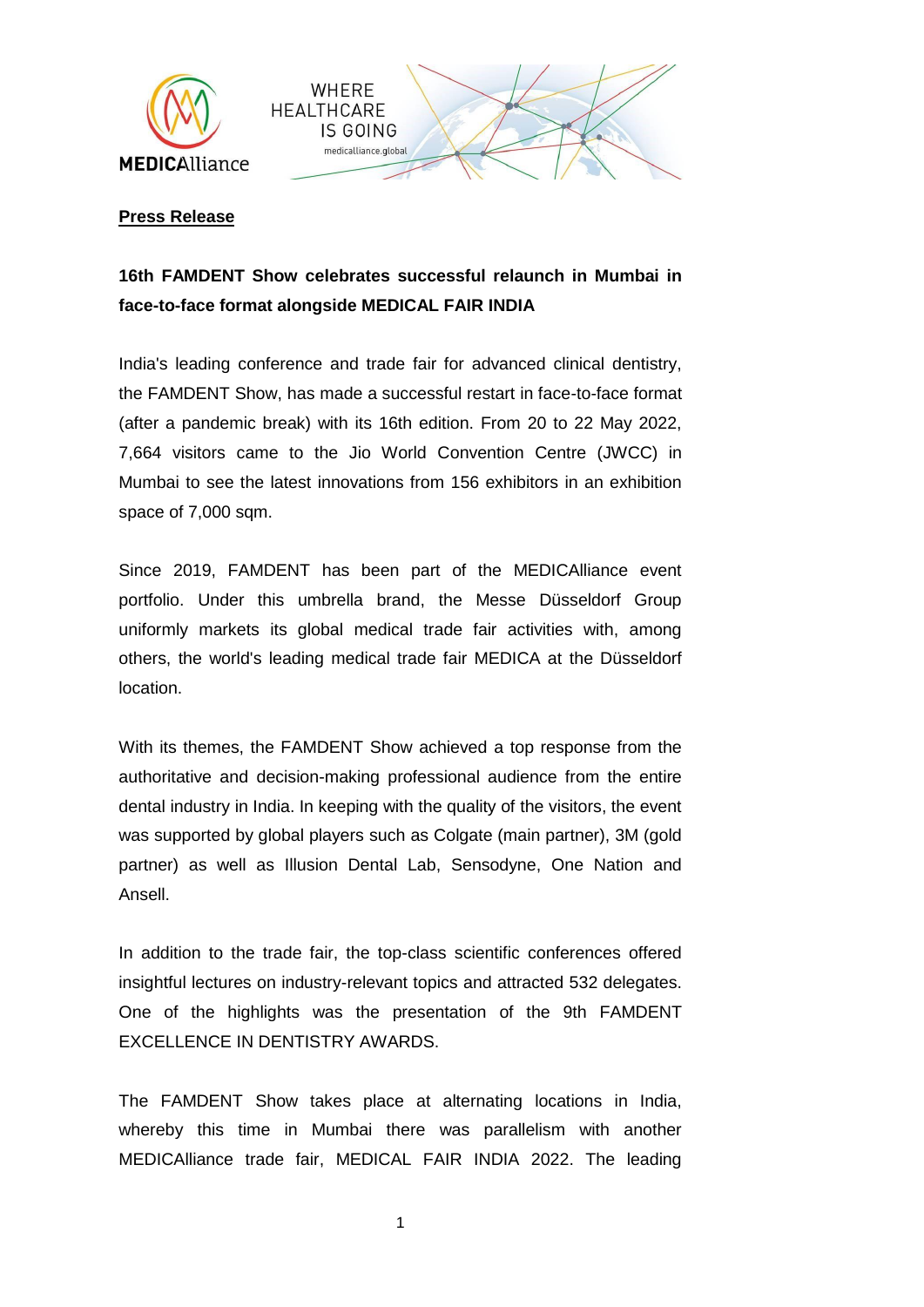



## **Press Release**

## **16th FAMDENT Show celebrates successful relaunch in Mumbai in face-to-face format alongside MEDICAL FAIR INDIA**

India's leading conference and trade fair for advanced clinical dentistry, the FAMDENT Show, has made a successful restart in face-to-face format (after a pandemic break) with its 16th edition. From 20 to 22 May 2022, 7,664 visitors came to the Jio World Convention Centre (JWCC) in Mumbai to see the latest innovations from 156 exhibitors in an exhibition space of 7,000 sqm.

Since 2019, FAMDENT has been part of the MEDICAlliance event portfolio. Under this umbrella brand, the Messe Düsseldorf Group uniformly markets its global medical trade fair activities with, among others, the world's leading medical trade fair MEDICA at the Düsseldorf location.

With its themes, the FAMDENT Show achieved a top response from the authoritative and decision-making professional audience from the entire dental industry in India. In keeping with the quality of the visitors, the event was supported by global players such as Colgate (main partner), 3M (gold partner) as well as Illusion Dental Lab, Sensodyne, One Nation and Ansell.

In addition to the trade fair, the top-class scientific conferences offered insightful lectures on industry-relevant topics and attracted 532 delegates. One of the highlights was the presentation of the 9th FAMDENT EXCELLENCE IN DENTISTRY AWARDS.

The FAMDENT Show takes place at alternating locations in India, whereby this time in Mumbai there was parallelism with another MEDICAlliance trade fair, MEDICAL FAIR INDIA 2022. The leading